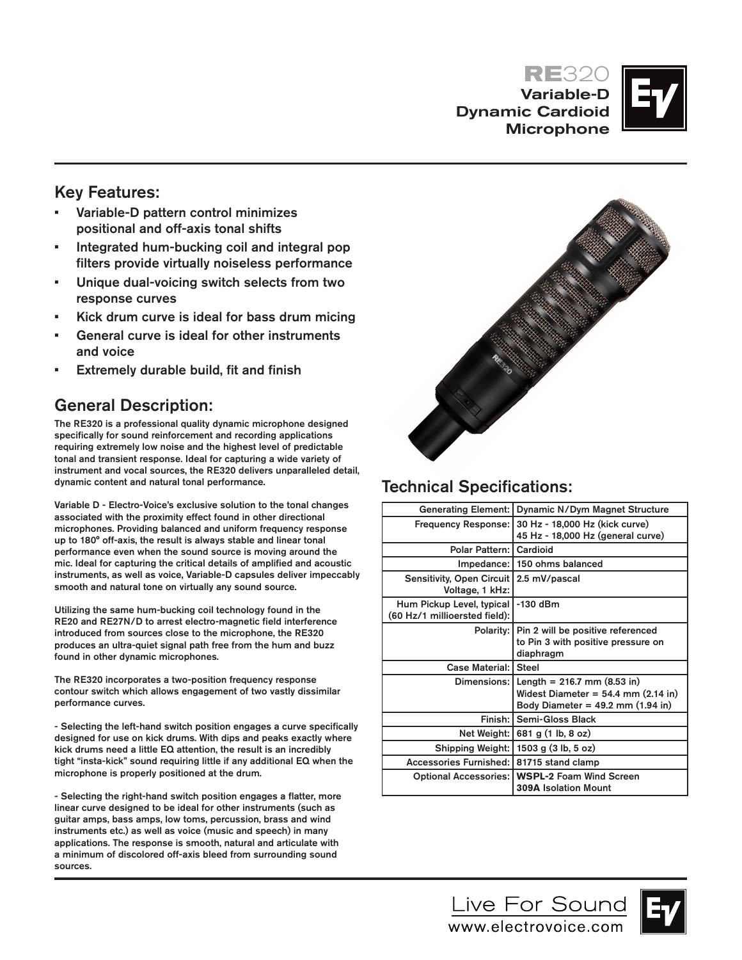**RE**320 Variable-D Dynamic Cardioid Microphone



## Key Features:

- • Variable-D pattern control minimizes positional and off-axis tonal shifts
- • Integrated hum-bucking coil and integral pop filters provide virtually noiseless performance
- Unique dual-voicing switch selects from two response curves
- • Kick drum curve is ideal for bass drum micing
- General curve is ideal for other instruments and voice
- • Extremely durable build, fit and finish

# General Description:

The RE320 is a professional quality dynamic microphone designed specifically for sound reinforcement and recording applications requiring extremely low noise and the highest level of predictable tonal and transient response. Ideal for capturing a wide variety of instrument and vocal sources, the RE320 delivers unparalleled detail, dynamic content and natural tonal performance.

Variable D - Electro-Voice's exclusive solution to the tonal changes associated with the proximity effect found in other directional microphones. Providing balanced and uniform frequency response up to 180° off-axis, the result is always stable and linear tonal performance even when the sound source is moving around the mic. Ideal for capturing the critical details of amplified and acoustic instruments, as well as voice, Variable-D capsules deliver impeccably smooth and natural tone on virtually any sound source.

Utilizing the same hum-bucking coil technology found in the RE20 and RE27N/D to arrest electro-magnetic field interference introduced from sources close to the microphone, the RE320 produces an ultra-quiet signal path free from the hum and buzz found in other dynamic microphones.

The RE320 incorporates a two-position frequency response contour switch which allows engagement of two vastly dissimilar performance curves.

- Selecting the left-hand switch position engages a curve specifically designed for use on kick drums. With dips and peaks exactly where kick drums need a little EQ attention, the result is an incredibly tight "insta-kick" sound requiring little if any additional EQ when the microphone is properly positioned at the drum.

- Selecting the right-hand switch position engages a flatter, more linear curve designed to be ideal for other instruments (such as guitar amps, bass amps, low toms, percussion, brass and wind instruments etc.) as well as voice (music and speech) in many applications. The response is smooth, natural and articulate with a minimum of discolored off-axis bleed from surrounding sound sources.



# Technical Specifications:

|                                                            | Generating Element: Dynamic N/Dym Magnet Structure                                                                                  |
|------------------------------------------------------------|-------------------------------------------------------------------------------------------------------------------------------------|
| <b>Frequency Response:</b>                                 | 30 Hz - 18,000 Hz (kick curve)<br>45 Hz - 18,000 Hz (general curve)                                                                 |
| Polar Pattern:   Cardioid                                  |                                                                                                                                     |
|                                                            | Impedance:   150 ohms balanced                                                                                                      |
| Sensitivity, Open Circuit<br>Voltage, 1 kHz:               | 2.5 mV/pascal                                                                                                                       |
| Hum Pickup Level, typical<br>(60 Hz/1 millioersted field): | -130 dBm                                                                                                                            |
| Polarity:                                                  | Pin 2 will be positive referenced<br>to Pin 3 with positive pressure on<br>diaphragm                                                |
| Case Material: Steel                                       |                                                                                                                                     |
|                                                            | Dimensions: $\vert$ Length = 216.7 mm (8.53 in)<br>Widest Diameter = $54.4$ mm $(2.14$ in)<br>Body Diameter = $49.2$ mm $(1.94$ in) |
| Finish: I                                                  | Semi-Gloss Black                                                                                                                    |
|                                                            | Net Weight: 681 g (1 lb, 8 oz)                                                                                                      |
| Shipping Weight:                                           | 1503 g $(3 lb, 5 oz)$                                                                                                               |
| Accessories Furnished: 81715 stand clamp                   |                                                                                                                                     |
|                                                            | Optional Accessories:   WSPL-2 Foam Wind Screen<br><b>309A Isolation Mount</b>                                                      |